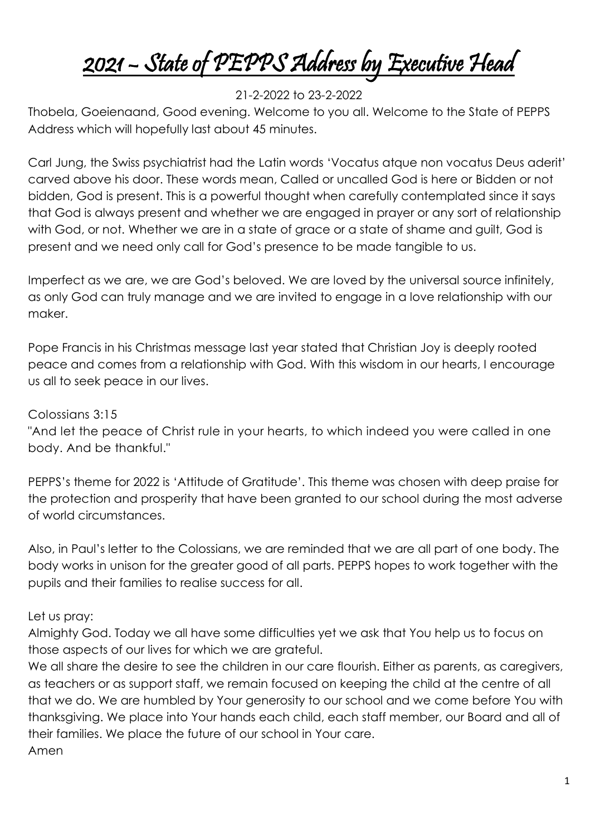# 2021 – State of PEPPS Address by Executive Head

### 21-2-2022 to 23-2-2022

Thobela, Goeienaand, Good evening. Welcome to you all. Welcome to the State of PEPPS Address which will hopefully last about 45 minutes.

Carl Jung, the Swiss psychiatrist had the Latin words 'Vocatus atque non vocatus Deus aderit' carved above his door. These words mean, Called or uncalled God is here or Bidden or not bidden, God is present. This is a powerful thought when carefully contemplated since it says that God is always present and whether we are engaged in prayer or any sort of relationship with God, or not. Whether we are in a state of grace or a state of shame and guilt, God is present and we need only call for God's presence to be made tangible to us.

Imperfect as we are, we are God's beloved. We are loved by the universal source infinitely, as only God can truly manage and we are invited to engage in a love relationship with our maker.

Pope Francis in his Christmas message last year stated that Christian Joy is deeply rooted peace and comes from a relationship with God. With this wisdom in our hearts, I encourage us all to seek peace in our lives.

#### [Colossians 3:15](http://www.esvbible.org/Colossians%203%3A15/)

"And let the peace of Christ rule in your hearts, to which indeed you were called in one body. And be thankful."

PEPPS's theme for 2022 is 'Attitude of Gratitude'. This theme was chosen with deep praise for the protection and prosperity that have been granted to our school during the most adverse of world circumstances.

Also, in Paul's letter to the Colossians, we are reminded that we are all part of one body. The body works in unison for the greater good of all parts. PEPPS hopes to work together with the pupils and their families to realise success for all.

#### Let us pray:

Almighty God. Today we all have some difficulties yet we ask that You help us to focus on those aspects of our lives for which we are grateful.

We all share the desire to see the children in our care flourish. Either as parents, as caregivers, as teachers or as support staff, we remain focused on keeping the child at the centre of all that we do. We are humbled by Your generosity to our school and we come before You with thanksgiving. We place into Your hands each child, each staff member, our Board and all of their families. We place the future of our school in Your care. Amen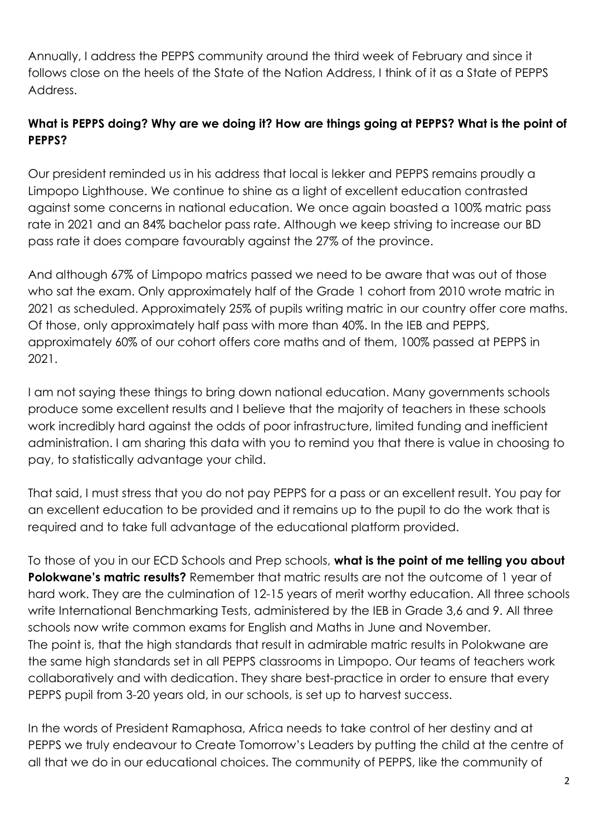Annually, I address the PEPPS community around the third week of February and since it follows close on the heels of the State of the Nation Address, I think of it as a State of PEPPS Address.

## **What is PEPPS doing? Why are we doing it? How are things going at PEPPS? What is the point of PEPPS?**

Our president reminded us in his address that local is lekker and PEPPS remains proudly a Limpopo Lighthouse. We continue to shine as a light of excellent education contrasted against some concerns in national education. We once again boasted a 100% matric pass rate in 2021 and an 84% bachelor pass rate. Although we keep striving to increase our BD pass rate it does compare favourably against the 27% of the province.

And although 67% of Limpopo matrics passed we need to be aware that was out of those who sat the exam. Only approximately half of the Grade 1 cohort from 2010 wrote matric in 2021 as scheduled. Approximately 25% of pupils writing matric in our country offer core maths. Of those, only approximately half pass with more than 40%. In the IEB and PEPPS, approximately 60% of our cohort offers core maths and of them, 100% passed at PEPPS in 2021.

I am not saying these things to bring down national education. Many governments schools produce some excellent results and I believe that the majority of teachers in these schools work incredibly hard against the odds of poor infrastructure, limited funding and inefficient administration. I am sharing this data with you to remind you that there is value in choosing to pay, to statistically advantage your child.

That said, I must stress that you do not pay PEPPS for a pass or an excellent result. You pay for an excellent education to be provided and it remains up to the pupil to do the work that is required and to take full advantage of the educational platform provided.

To those of you in our ECD Schools and Prep schools, **what is the point of me telling you about**  Polokwane's matric results? Remember that matric results are not the outcome of 1 year of hard work. They are the culmination of 12-15 years of merit worthy education. All three schools write International Benchmarking Tests, administered by the IEB in Grade 3,6 and 9. All three schools now write common exams for English and Maths in June and November. The point is, that the high standards that result in admirable matric results in Polokwane are the same high standards set in all PEPPS classrooms in Limpopo. Our teams of teachers work collaboratively and with dedication. They share best-practice in order to ensure that every PEPPS pupil from 3-20 years old, in our schools, is set up to harvest success.

In the words of President Ramaphosa, Africa needs to take control of her destiny and at PEPPS we truly endeavour to Create Tomorrow's Leaders by putting the child at the centre of all that we do in our educational choices. The community of PEPPS, like the community of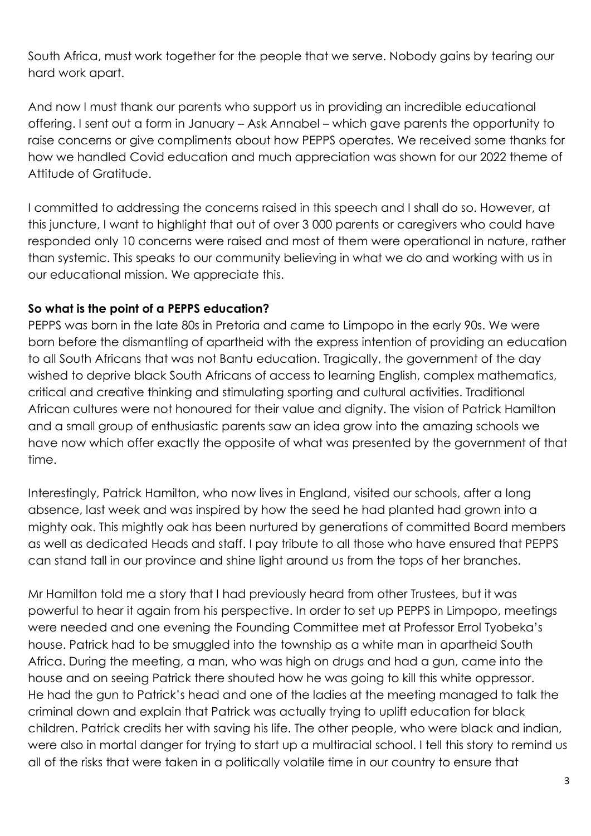South Africa, must work together for the people that we serve. Nobody gains by tearing our hard work apart.

And now I must thank our parents who support us in providing an incredible educational offering. I sent out a form in January – Ask Annabel – which gave parents the opportunity to raise concerns or give compliments about how PEPPS operates. We received some thanks for how we handled Covid education and much appreciation was shown for our 2022 theme of Attitude of Gratitude.

I committed to addressing the concerns raised in this speech and I shall do so. However, at this juncture, I want to highlight that out of over 3 000 parents or caregivers who could have responded only 10 concerns were raised and most of them were operational in nature, rather than systemic. This speaks to our community believing in what we do and working with us in our educational mission. We appreciate this.

#### **So what is the point of a PEPPS education?**

PEPPS was born in the late 80s in Pretoria and came to Limpopo in the early 90s. We were born before the dismantling of apartheid with the express intention of providing an education to all South Africans that was not Bantu education. Tragically, the government of the day wished to deprive black South Africans of access to learning English, complex mathematics, critical and creative thinking and stimulating sporting and cultural activities. Traditional African cultures were not honoured for their value and dignity. The vision of Patrick Hamilton and a small group of enthusiastic parents saw an idea grow into the amazing schools we have now which offer exactly the opposite of what was presented by the government of that time.

Interestingly, Patrick Hamilton, who now lives in England, visited our schools, after a long absence, last week and was inspired by how the seed he had planted had grown into a mighty oak. This mightly oak has been nurtured by generations of committed Board members as well as dedicated Heads and staff. I pay tribute to all those who have ensured that PEPPS can stand tall in our province and shine light around us from the tops of her branches.

Mr Hamilton told me a story that I had previously heard from other Trustees, but it was powerful to hear it again from his perspective. In order to set up PEPPS in Limpopo, meetings were needed and one evening the Founding Committee met at Professor Errol Tyobeka's house. Patrick had to be smuggled into the township as a white man in apartheid South Africa. During the meeting, a man, who was high on drugs and had a gun, came into the house and on seeing Patrick there shouted how he was going to kill this white oppressor. He had the gun to Patrick's head and one of the ladies at the meeting managed to talk the criminal down and explain that Patrick was actually trying to uplift education for black children. Patrick credits her with saving his life. The other people, who were black and indian, were also in mortal danger for trying to start up a multiracial school. I tell this story to remind us all of the risks that were taken in a politically volatile time in our country to ensure that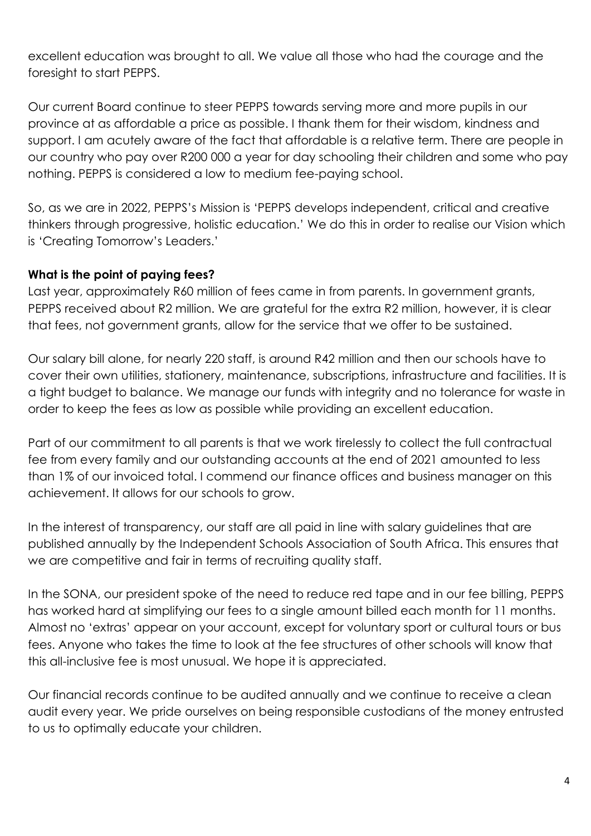excellent education was brought to all. We value all those who had the courage and the foresight to start PEPPS.

Our current Board continue to steer PEPPS towards serving more and more pupils in our province at as affordable a price as possible. I thank them for their wisdom, kindness and support. I am acutely aware of the fact that affordable is a relative term. There are people in our country who pay over R200 000 a year for day schooling their children and some who pay nothing. PEPPS is considered a low to medium fee-paying school.

So, as we are in 2022, PEPPS's Mission is 'PEPPS develops independent, critical and creative thinkers through progressive, holistic education.' We do this in order to realise our Vision which is 'Creating Tomorrow's Leaders.'

#### **What is the point of paying fees?**

Last year, approximately R60 million of fees came in from parents. In government grants, PEPPS received about R2 million. We are grateful for the extra R2 million, however, it is clear that fees, not government grants, allow for the service that we offer to be sustained.

Our salary bill alone, for nearly 220 staff, is around R42 million and then our schools have to cover their own utilities, stationery, maintenance, subscriptions, infrastructure and facilities. It is a tight budget to balance. We manage our funds with integrity and no tolerance for waste in order to keep the fees as low as possible while providing an excellent education.

Part of our commitment to all parents is that we work tirelessly to collect the full contractual fee from every family and our outstanding accounts at the end of 2021 amounted to less than 1% of our invoiced total. I commend our finance offices and business manager on this achievement. It allows for our schools to grow.

In the interest of transparency, our staff are all paid in line with salary guidelines that are published annually by the Independent Schools Association of South Africa. This ensures that we are competitive and fair in terms of recruiting quality staff.

In the SONA, our president spoke of the need to reduce red tape and in our fee billing, PEPPS has worked hard at simplifying our fees to a single amount billed each month for 11 months. Almost no 'extras' appear on your account, except for voluntary sport or cultural tours or bus fees. Anyone who takes the time to look at the fee structures of other schools will know that this all-inclusive fee is most unusual. We hope it is appreciated.

Our financial records continue to be audited annually and we continue to receive a clean audit every year. We pride ourselves on being responsible custodians of the money entrusted to us to optimally educate your children.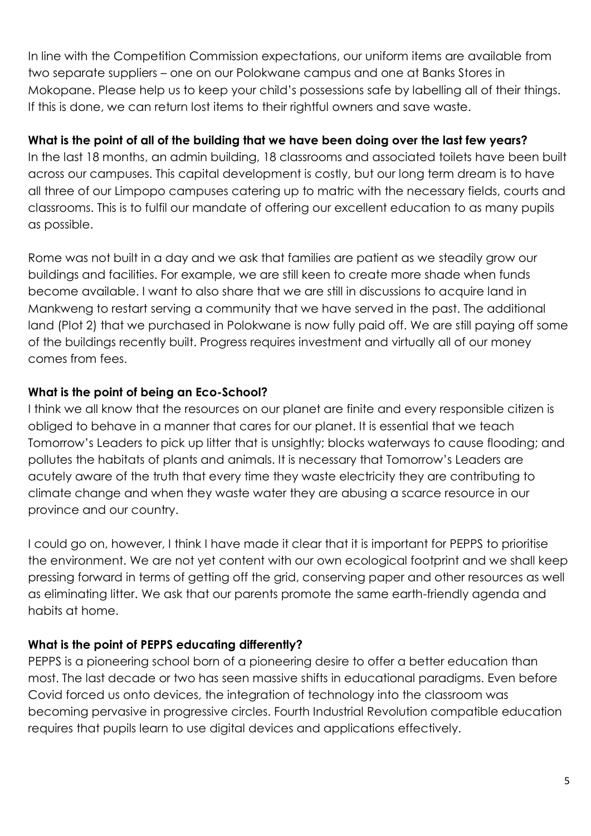In line with the Competition Commission expectations, our uniform items are available from two separate suppliers – one on our Polokwane campus and one at Banks Stores in Mokopane. Please help us to keep your child's possessions safe by labelling all of their things. If this is done, we can return lost items to their rightful owners and save waste.

#### **What is the point of all of the building that we have been doing over the last few years?**

In the last 18 months, an admin building, 18 classrooms and associated toilets have been built across our campuses. This capital development is costly, but our long term dream is to have all three of our Limpopo campuses catering up to matric with the necessary fields, courts and classrooms. This is to fulfil our mandate of offering our excellent education to as many pupils as possible.

Rome was not built in a day and we ask that families are patient as we steadily grow our buildings and facilities. For example, we are still keen to create more shade when funds become available. I want to also share that we are still in discussions to acquire land in Mankweng to restart serving a community that we have served in the past. The additional land (Plot 2) that we purchased in Polokwane is now fully paid off. We are still paying off some of the buildings recently built. Progress requires investment and virtually all of our money comes from fees.

## **What is the point of being an Eco-School?**

I think we all know that the resources on our planet are finite and every responsible citizen is obliged to behave in a manner that cares for our planet. It is essential that we teach Tomorrow's Leaders to pick up litter that is unsightly; blocks waterways to cause flooding; and pollutes the habitats of plants and animals. It is necessary that Tomorrow's Leaders are acutely aware of the truth that every time they waste electricity they are contributing to climate change and when they waste water they are abusing a scarce resource in our province and our country.

I could go on, however, I think I have made it clear that it is important for PEPPS to prioritise the environment. We are not yet content with our own ecological footprint and we shall keep pressing forward in terms of getting off the grid, conserving paper and other resources as well as eliminating litter. We ask that our parents promote the same earth-friendly agenda and habits at home.

#### **What is the point of PEPPS educating differently?**

PEPPS is a pioneering school born of a pioneering desire to offer a better education than most. The last decade or two has seen massive shifts in educational paradigms. Even before Covid forced us onto devices, the integration of technology into the classroom was becoming pervasive in progressive circles. Fourth Industrial Revolution compatible education requires that pupils learn to use digital devices and applications effectively.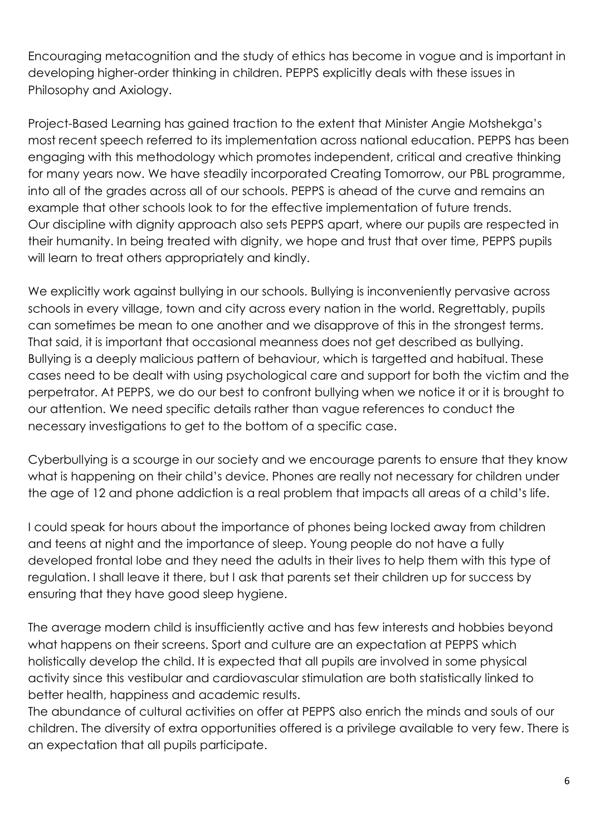Encouraging metacognition and the study of ethics has become in vogue and is important in developing higher-order thinking in children. PEPPS explicitly deals with these issues in Philosophy and Axiology.

Project-Based Learning has gained traction to the extent that Minister Angie Motshekga's most recent speech referred to its implementation across national education. PEPPS has been engaging with this methodology which promotes independent, critical and creative thinking for many years now. We have steadily incorporated Creating Tomorrow, our PBL programme, into all of the grades across all of our schools. PEPPS is ahead of the curve and remains an example that other schools look to for the effective implementation of future trends. Our discipline with dignity approach also sets PEPPS apart, where our pupils are respected in their humanity. In being treated with dignity, we hope and trust that over time, PEPPS pupils will learn to treat others appropriately and kindly.

We explicitly work against bullying in our schools. Bullying is inconveniently pervasive across schools in every village, town and city across every nation in the world. Regrettably, pupils can sometimes be mean to one another and we disapprove of this in the strongest terms. That said, it is important that occasional meanness does not get described as bullying. Bullying is a deeply malicious pattern of behaviour, which is targetted and habitual. These cases need to be dealt with using psychological care and support for both the victim and the perpetrator. At PEPPS, we do our best to confront bullying when we notice it or it is brought to our attention. We need specific details rather than vague references to conduct the necessary investigations to get to the bottom of a specific case.

Cyberbullying is a scourge in our society and we encourage parents to ensure that they know what is happening on their child's device. Phones are really not necessary for children under the age of 12 and phone addiction is a real problem that impacts all areas of a child's life.

I could speak for hours about the importance of phones being locked away from children and teens at night and the importance of sleep. Young people do not have a fully developed frontal lobe and they need the adults in their lives to help them with this type of regulation. I shall leave it there, but I ask that parents set their children up for success by ensuring that they have good sleep hygiene.

The average modern child is insufficiently active and has few interests and hobbies beyond what happens on their screens. Sport and culture are an expectation at PEPPS which holistically develop the child. It is expected that all pupils are involved in some physical activity since this vestibular and cardiovascular stimulation are both statistically linked to better health, happiness and academic results.

The abundance of cultural activities on offer at PEPPS also enrich the minds and souls of our children. The diversity of extra opportunities offered is a privilege available to very few. There is an expectation that all pupils participate.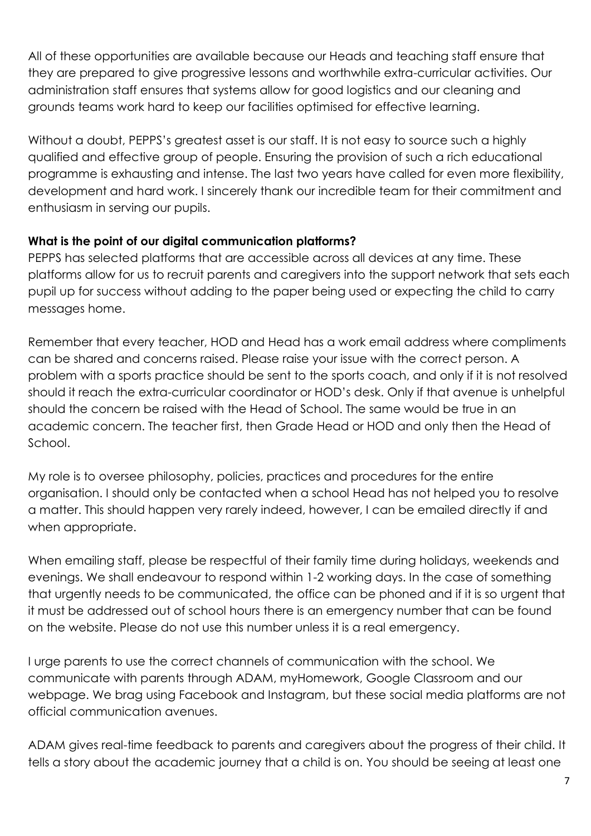All of these opportunities are available because our Heads and teaching staff ensure that they are prepared to give progressive lessons and worthwhile extra-curricular activities. Our administration staff ensures that systems allow for good logistics and our cleaning and grounds teams work hard to keep our facilities optimised for effective learning.

Without a doubt, PEPPS's greatest asset is our staff. It is not easy to source such a highly qualified and effective group of people. Ensuring the provision of such a rich educational programme is exhausting and intense. The last two years have called for even more flexibility, development and hard work. I sincerely thank our incredible team for their commitment and enthusiasm in serving our pupils.

#### **What is the point of our digital communication platforms?**

PEPPS has selected platforms that are accessible across all devices at any time. These platforms allow for us to recruit parents and caregivers into the support network that sets each pupil up for success without adding to the paper being used or expecting the child to carry messages home.

Remember that every teacher, HOD and Head has a work email address where compliments can be shared and concerns raised. Please raise your issue with the correct person. A problem with a sports practice should be sent to the sports coach, and only if it is not resolved should it reach the extra-curricular coordinator or HOD's desk. Only if that avenue is unhelpful should the concern be raised with the Head of School. The same would be true in an academic concern. The teacher first, then Grade Head or HOD and only then the Head of School.

My role is to oversee philosophy, policies, practices and procedures for the entire organisation. I should only be contacted when a school Head has not helped you to resolve a matter. This should happen very rarely indeed, however, I can be emailed directly if and when appropriate.

When emailing staff, please be respectful of their family time during holidays, weekends and evenings. We shall endeavour to respond within 1-2 working days. In the case of something that urgently needs to be communicated, the office can be phoned and if it is so urgent that it must be addressed out of school hours there is an emergency number that can be found on the website. Please do not use this number unless it is a real emergency.

I urge parents to use the correct channels of communication with the school. We communicate with parents through ADAM, myHomework, Google Classroom and our webpage. We brag using Facebook and Instagram, but these social media platforms are not official communication avenues.

ADAM gives real-time feedback to parents and caregivers about the progress of their child. It tells a story about the academic journey that a child is on. You should be seeing at least one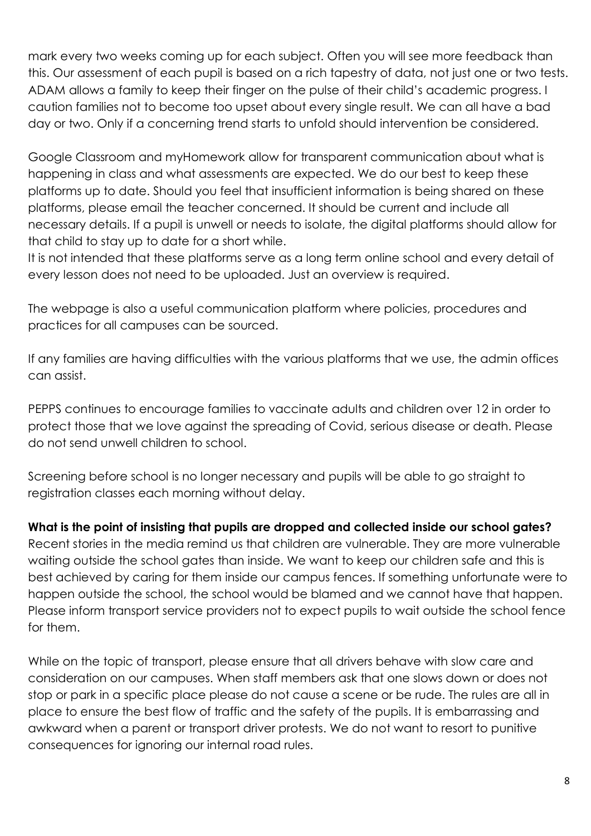mark every two weeks coming up for each subject. Often you will see more feedback than this. Our assessment of each pupil is based on a rich tapestry of data, not just one or two tests. ADAM allows a family to keep their finger on the pulse of their child's academic progress. I caution families not to become too upset about every single result. We can all have a bad day or two. Only if a concerning trend starts to unfold should intervention be considered.

Google Classroom and myHomework allow for transparent communication about what is happening in class and what assessments are expected. We do our best to keep these platforms up to date. Should you feel that insufficient information is being shared on these platforms, please email the teacher concerned. It should be current and include all necessary details. If a pupil is unwell or needs to isolate, the digital platforms should allow for that child to stay up to date for a short while.

It is not intended that these platforms serve as a long term online school and every detail of every lesson does not need to be uploaded. Just an overview is required.

The webpage is also a useful communication platform where policies, procedures and practices for all campuses can be sourced.

If any families are having difficulties with the various platforms that we use, the admin offices can assist.

PEPPS continues to encourage families to vaccinate adults and children over 12 in order to protect those that we love against the spreading of Covid, serious disease or death. Please do not send unwell children to school.

Screening before school is no longer necessary and pupils will be able to go straight to registration classes each morning without delay.

**What is the point of insisting that pupils are dropped and collected inside our school gates?**

Recent stories in the media remind us that children are vulnerable. They are more vulnerable waiting outside the school gates than inside. We want to keep our children safe and this is best achieved by caring for them inside our campus fences. If something unfortunate were to happen outside the school, the school would be blamed and we cannot have that happen. Please inform transport service providers not to expect pupils to wait outside the school fence for them.

While on the topic of transport, please ensure that all drivers behave with slow care and consideration on our campuses. When staff members ask that one slows down or does not stop or park in a specific place please do not cause a scene or be rude. The rules are all in place to ensure the best flow of traffic and the safety of the pupils. It is embarrassing and awkward when a parent or transport driver protests. We do not want to resort to punitive consequences for ignoring our internal road rules.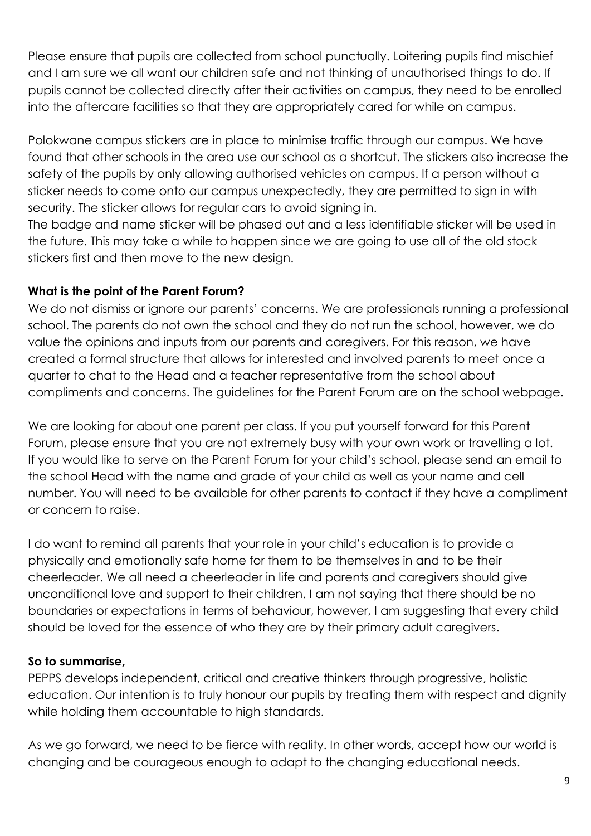Please ensure that pupils are collected from school punctually. Loitering pupils find mischief and I am sure we all want our children safe and not thinking of unauthorised things to do. If pupils cannot be collected directly after their activities on campus, they need to be enrolled into the aftercare facilities so that they are appropriately cared for while on campus.

Polokwane campus stickers are in place to minimise traffic through our campus. We have found that other schools in the area use our school as a shortcut. The stickers also increase the safety of the pupils by only allowing authorised vehicles on campus. If a person without a sticker needs to come onto our campus unexpectedly, they are permitted to sign in with security. The sticker allows for regular cars to avoid signing in.

The badge and name sticker will be phased out and a less identifiable sticker will be used in the future. This may take a while to happen since we are going to use all of the old stock stickers first and then move to the new design.

#### **What is the point of the Parent Forum?**

We do not dismiss or ignore our parents' concerns. We are professionals running a professional school. The parents do not own the school and they do not run the school, however, we do value the opinions and inputs from our parents and caregivers. For this reason, we have created a formal structure that allows for interested and involved parents to meet once a quarter to chat to the Head and a teacher representative from the school about compliments and concerns. The guidelines for the Parent Forum are on the school webpage.

We are looking for about one parent per class. If you put yourself forward for this Parent Forum, please ensure that you are not extremely busy with your own work or travelling a lot. If you would like to serve on the Parent Forum for your child's school, please send an email to the school Head with the name and grade of your child as well as your name and cell number. You will need to be available for other parents to contact if they have a compliment or concern to raise.

I do want to remind all parents that your role in your child's education is to provide a physically and emotionally safe home for them to be themselves in and to be their cheerleader. We all need a cheerleader in life and parents and caregivers should give unconditional love and support to their children. I am not saying that there should be no boundaries or expectations in terms of behaviour, however, I am suggesting that every child should be loved for the essence of who they are by their primary adult caregivers.

#### **So to summarise,**

PEPPS develops independent, critical and creative thinkers through progressive, holistic education. Our intention is to truly honour our pupils by treating them with respect and dignity while holding them accountable to high standards.

As we go forward, we need to be fierce with reality. In other words, accept how our world is changing and be courageous enough to adapt to the changing educational needs.